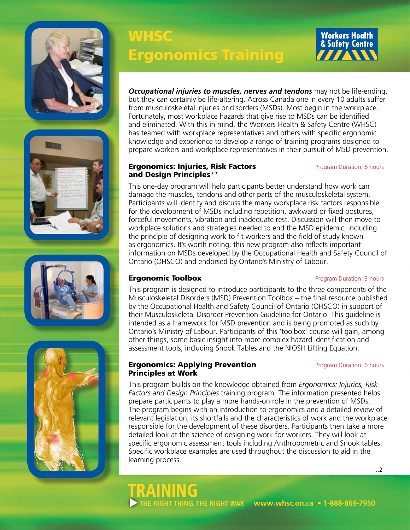







# **WHSC** Ergonomics Training



*Occupational injuries to muscles, nerves and tendons* may not be life-ending, but they can certainly be life-altering. Across Canada one in every 10 adults suffer from musculoskeletal injuries or disorders (MSDs). Most begin in the workplace. Fortunately, most workplace hazards that give rise to MSDs can be identified and eliminated. With this in mind, the Workers Health & Safety Centre (WHSC) has teamed with workplace representatives and others with specific ergonomic knowledge and experience to develop a range of training programs designed to prepare workers and workplace representatives in their pursuit of MSD prevention.

### **Ergonomics: Injuries, Risk Factors Program Duration: 6 hours** and Design Principles\*\*

This one-day program will help participants better understand how work can damage the muscles, tendons and other parts of the musculoskeletal system. Participants will identify and discuss the many workplace risk factors responsible for the development of MSDs including repetition, awkward or fixed postures, forceful movements, vibration and inadequate rest. Discussion will then move to workplace solutions and strategies needed to end the MSD epidemic, including the principle of designing work to fit workers and the field of study known as ergonomics. It's worth noting, this new program also reflects important information on MSDs developed by the Occupational Health and Safety Council of Ontario (OHSCO) and endorsed by Ontario's Ministry of Labour.

### **Ergonomic Toolbox Program Duration: 3 hours**

TRAINING

This program is designed to introduce participants to the three components of the Musculoskeletal Disorders (MSD) Prevention Toolbox – the final resource published by the Occupational Health and Safety Council of Ontario (OHSCO) in support of their Musculoskeletal Disorder Prevention Guideline for Ontario. This guideline is intended as a framework for MSD prevention and is being promoted as such by Ontario's Ministry of Labour. Participants of this 'toolbox' course will gain, among other things, some basic insight into more complex hazard identification and assessment tools, including Snook Tables and the NIOSH Lifting Equation.

### **Ergonomics: Applying Prevention** Program Duration: 6 hours Principles at Work

This program builds on the knowledge obtained from *Ergonomics: Injuries, Risk Factors and Design Principles* training program. The information presented helps prepare participants to play a more hands-on role in the prevention of MSDs. The program begins with an introduction to ergonomics and a detailed review of relevant legislation, its shortfalls and the characteristics of work and the workplace responsible for the development of these disorders. Participants then take a more detailed look at the science of designing work for workers. They will look at specific ergonomic assessment tools including Anthropometric and Snook tables. Specific workplace examples are used throughout the discussion to aid in the learning process.

...2

 **www.whsc.on.ca • 1-888-869-7950 THE RIGHT THING. THE RIGHT WAY.**